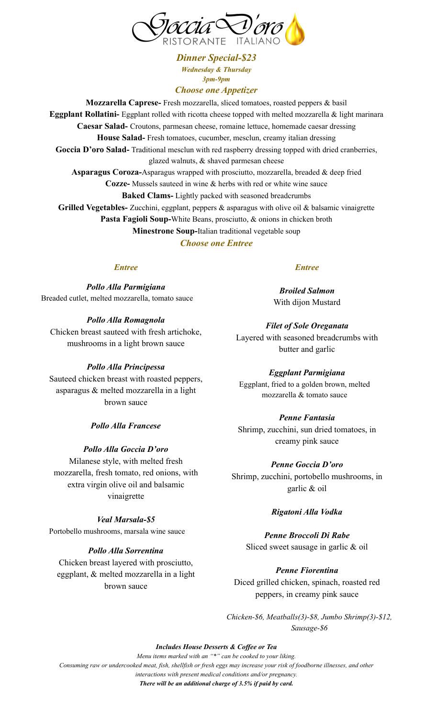

*Dinner Special-\$23 Wednesday & Thursday 3pm-9pm*

### *Choose one Appetizer*

**Mozzarella Caprese-** Fresh mozzarella, sliced tomatoes, roasted peppers & basil **Eggplant Rollatini-** Eggplant rolled with ricotta cheese topped with melted mozzarella & light marinara **Caesar Salad-** Croutons, parmesan cheese, romaine lettuce, homemade caesar dressing **House Salad-** Fresh tomatoes, cucumber, mesclun, creamy italian dressing Goccia D'oro Salad-Traditional mesclun with red raspberry dressing topped with dried cranberries, glazed walnuts, & shaved parmesan cheese **Asparagus Coroza***-*Asparagus wrapped with prosciutto, mozzarella, breaded & deep fried **Cozze-** Mussels sauteed in wine & herbs with red or white wine sauce **Baked Clams-** Lightly packed with seasoned breadcrumbs **Grilled Vegetables-** Zucchini, eggplant, peppers & asparagus with olive oil & balsamic vinaigrette **Pasta Fagioli Soup***-*White Beans, prosciutto, & onions in chicken broth **Minestrone Soup-**Italian traditional vegetable soup

*Choose one Entree*

# *Entree*

*Pollo Alla Parmigiana* Breaded cutlet, melted mozzarella, tomato sauce

### *Pollo Alla Romagnola*

Chicken breast sauteed with fresh artichoke, mushrooms in a light brown sauce

#### *Pollo Alla Principessa*

Sauteed chicken breast with roasted peppers, asparagus & melted mozzarella in a light brown sauce

*Pollo Alla Francese*

# *Pollo Alla Goccia D'oro*

Milanese style, with melted fresh mozzarella, fresh tomato, red onions, with extra virgin olive oil and balsamic vinaigrette

# *Veal Marsala-\$5*

Portobello mushrooms, marsala wine sauce

# *Pollo Alla Sorrentina*

Chicken breast layered with prosciutto, eggplant, & melted mozzarella in a light brown sauce

# *Entree*

*Broiled Salmon* With dijon Mustard

*Filet of Sole Oreganata* Layered with seasoned breadcrumbs with butter and garlic

#### *Eggplant Parmigiana*

Eggplant, fried to a golden brown, melted mozzarella & tomato sauce

# *Penne Fantasia*

Shrimp, zucchini, sun dried tomatoes, in creamy pink sauce

#### *Penne Goccia D'oro*

Shrimp, zucchini, portobello mushrooms, in garlic & oil

#### *Rigatoni Alla Vodka*

*Penne Broccoli Di Rabe* Sliced sweet sausage in garlic & oil

# *Penne Fiorentina*

Diced grilled chicken, spinach, roasted red peppers, in creamy pink sauce

*Chicken-\$6, Meatballs(3)-\$8, Jumbo Shrimp(3)-\$12, Sausage-\$6*

*Includes House Desserts & Cof ee or Tea*

*Menu items marked with an "\*" can be cooked to your liking. Consuming raw or undercooked meat, fish, shellfish or fresh eggs may increase your risk of foodborne illnesses, and other interactions with present medical conditions and/or pregnancy.*

*There will be an additional charge of 3.5% if paid by card.*